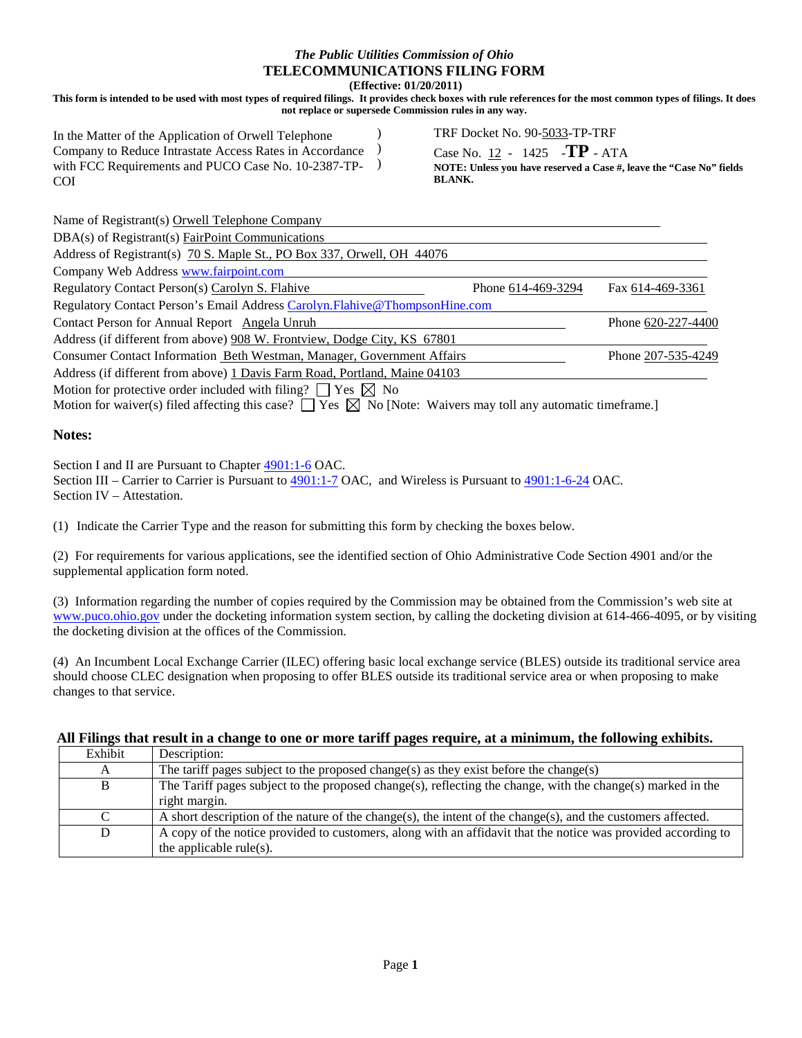# *The Public Utilities Commission of Ohio* **TELECOMMUNICATIONS FILING FORM**

**(Effective: 01/20/2011)**

**This form is intended to be used with most types of required filings. It provides check boxes with rule references for the most common types of filings. It does not replace or supersede Commission rules in any way.** 

In the Matter of the Application of Orwell Telephone Company to Reduce Intrastate Access Rates in Accordance with FCC Requirements and PUCO Case No. 10-2387-TP-COI ) ) ) TRF Docket No. 90-5033-TP-TRF

Case No. 12 - 1425 -**TP** - ATA

**NOTE: Unless you have reserved a Case #, leave the "Case No" fields BLANK.**

| Name of Registrant(s) Orwell Telephone Company                                                                                                                                                        |                    |                    |
|-------------------------------------------------------------------------------------------------------------------------------------------------------------------------------------------------------|--------------------|--------------------|
| DBA(s) of Registrant(s) FairPoint Communications                                                                                                                                                      |                    |                    |
| Address of Registrant(s) 70 S. Maple St., PO Box 337, Orwell, OH 44076                                                                                                                                |                    |                    |
| Company Web Address www.fairpoint.com                                                                                                                                                                 |                    |                    |
| Regulatory Contact Person(s) Carolyn S. Flahive                                                                                                                                                       | Phone 614-469-3294 | Fax 614-469-3361   |
| Regulatory Contact Person's Email Address Carolyn. Flahive@ThompsonHine.com                                                                                                                           |                    |                    |
| Contact Person for Annual Report Angela Unruh                                                                                                                                                         |                    | Phone 620-227-4400 |
| Address (if different from above) 908 W. Frontview, Dodge City, KS 67801                                                                                                                              |                    |                    |
| Consumer Contact Information Beth Westman, Manager, Government Affairs                                                                                                                                |                    | Phone 207-535-4249 |
| Address (if different from above) 1 Davis Farm Road, Portland, Maine 04103                                                                                                                            |                    |                    |
| Motion for protective order included with filing? $\Box$ Yes $\boxtimes$ No<br>Motion for waiver(s) filed affecting this case? $\Box$ Yes $\Box$ No [Note: Waivers may toll any automatic timeframe.] |                    |                    |

#### **Notes:**

Section I and II are Pursuant to Chapter  $4901:1-6$  OAC.

Section III – Carrier to Carrier is Pursuant to [4901:1-7](http://codes.ohio.gov/oac/4901%3A1-7) OAC, and Wireless is Pursuant to [4901:1-6-24](http://codes.ohio.gov/oac/4901%3A1-6-15) OAC. Section IV – Attestation.

(1) Indicate the Carrier Type and the reason for submitting this form by checking the boxes below.

(2) For requirements for various applications, see the identified section of Ohio Administrative Code Section 4901 and/or the supplemental application form noted.

(3) Information regarding the number of copies required by the Commission may be obtained from the Commission's web site at [www.puco.ohio.gov](http://www.puco.ohio.gov/) under the docketing information system section, by calling the docketing division at 614-466-4095, or by visiting the docketing division at the offices of the Commission.

(4) An Incumbent Local Exchange Carrier (ILEC) offering basic local exchange service (BLES) outside its traditional service area should choose CLEC designation when proposing to offer BLES outside its traditional service area or when proposing to make changes to that service.

| All Filings that result in a change to one or more tariff pages require, at a minimum, the following exhibits. |  |  |
|----------------------------------------------------------------------------------------------------------------|--|--|
|                                                                                                                |  |  |

| Exhibit | Description:                                                                                                  |
|---------|---------------------------------------------------------------------------------------------------------------|
|         | The tariff pages subject to the proposed change(s) as they exist before the change(s)                         |
| B       | The Tariff pages subject to the proposed change(s), reflecting the change, with the change(s) marked in the   |
|         | right margin.                                                                                                 |
|         | A short description of the nature of the change(s), the intent of the change(s), and the customers affected.  |
| D       | A copy of the notice provided to customers, along with an affidavit that the notice was provided according to |
|         | the applicable rule(s).                                                                                       |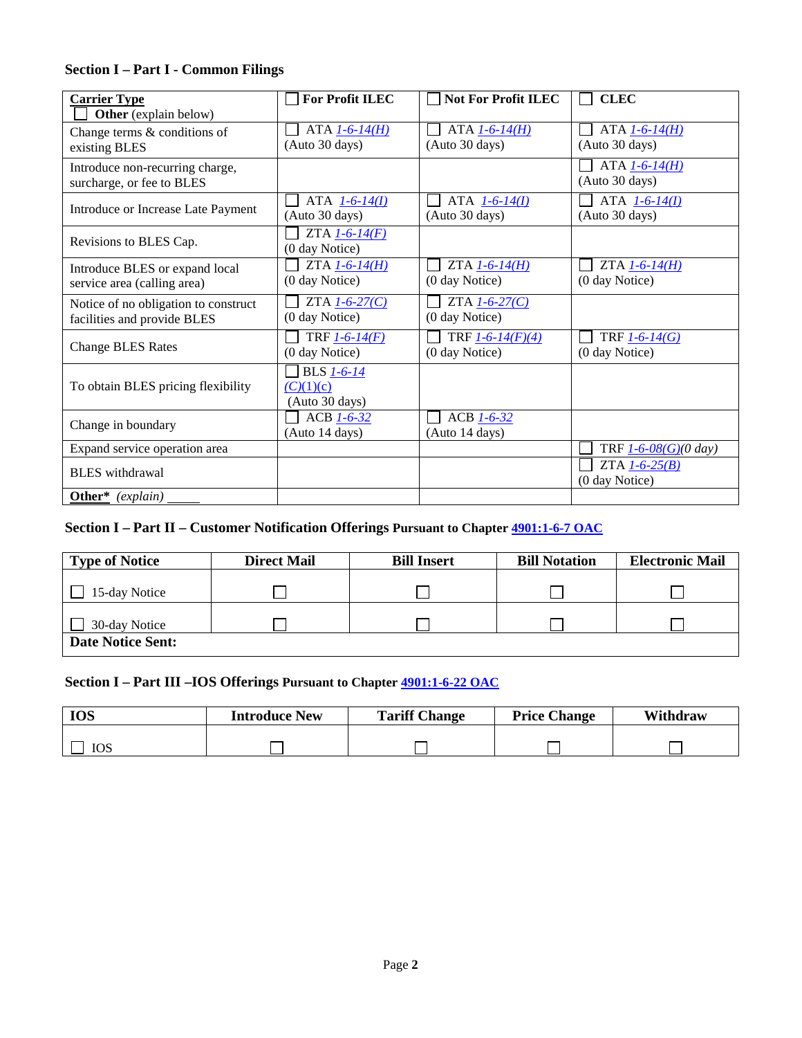## **Section I – Part I - Common Filings**

| <b>Carrier Type</b>                  | <b>For Profit ILEC</b>     | <b>Not For Profit ILEC</b> | <b>CLEC</b>                 |
|--------------------------------------|----------------------------|----------------------------|-----------------------------|
| Other (explain below)                |                            |                            |                             |
| Change terms & conditions of         | $ATA 1-6-14(H)$            | $ATA 1-6-14(H)$            | $ATA 1-6-14(H)$             |
| existing BLES                        | (Auto 30 days)             | (Auto 30 days)             | (Auto 30 days)              |
|                                      |                            |                            |                             |
| Introduce non-recurring charge,      |                            |                            | ATA $1 - 6 - 14(H)$         |
| surcharge, or fee to BLES            |                            |                            | (Auto 30 days)              |
|                                      | ATA $1 - 6 - 14(I)$        | ATA $1 - 6 - 14(I)$        | ATA $1 - 6 - 14(I)$         |
| Introduce or Increase Late Payment   | (Auto 30 days)             | (Auto 30 days)             | (Auto 30 days)              |
|                                      |                            |                            |                             |
| Revisions to BLES Cap.               | $ZTA$ <sub>1-6-14(F)</sub> |                            |                             |
|                                      | (0 day Notice)             |                            |                             |
| Introduce BLES or expand local       | ZTA $1-6-14(H)$            | $ZTA$ $1-6-14(H)$          | $ZTA$ $1-6-14(H)$           |
| service area (calling area)          | (0 day Notice)             | (0 day Notice)             | (0 day Notice)              |
|                                      |                            |                            |                             |
| Notice of no obligation to construct | ZTA $1 - 6 - 27(C)$        | ZTA $1-6-27(C)$            |                             |
| facilities and provide BLES          | (0 day Notice)             | (0 day Notice)             |                             |
|                                      | TRF $1 - 6 - 14(F)$        | TRF $1 - 6 - 14(F)(4)$     | TRF $1 - 6 - 14$ (G)        |
| <b>Change BLES Rates</b>             | (0 day Notice)             | (0 day Notice)             | (0 day Notice)              |
|                                      | <b>BLS</b> 1-6-14          |                            |                             |
|                                      |                            |                            |                             |
| To obtain BLES pricing flexibility   | (C)(1)(c)                  |                            |                             |
|                                      | (Auto 30 days)             |                            |                             |
| Change in boundary                   | ACB $1-6-32$               | ACB 1-6-32                 |                             |
|                                      | (Auto 14 days)             | (Auto 14 days)             |                             |
| Expand service operation area        |                            |                            | TRF $1 - 6 - 08$ (G)(0 day) |
|                                      |                            |                            | ZTA $1-6-25(B)$             |
| <b>BLES</b> withdrawal               |                            |                            | (0 day Notice)              |
| Other <sup>*</sup> $(explain)$       |                            |                            |                             |
|                                      |                            |                            |                             |

## **Section I – Part II – Customer Notification Offerings Pursuant to Chapte[r 4901:1-6-7 OAC](http://codes.ohio.gov/oac/4901%3A1-6)**

| <b>Type of Notice</b>    | <b>Direct Mail</b> | <b>Bill Insert</b> | <b>Bill Notation</b> | <b>Electronic Mail</b> |
|--------------------------|--------------------|--------------------|----------------------|------------------------|
| 15-day Notice            |                    |                    |                      |                        |
| 30-day Notice            |                    |                    |                      |                        |
| <b>Date Notice Sent:</b> |                    |                    |                      |                        |

## **Section I – Part III –IOS Offerings Pursuant to Chapter [4901:1-6-22 OAC](http://codes.ohio.gov/oac/4901%3A1-6)**

| <b>IOS</b> | <b>Introduce New</b> | <b>Tariff Change</b> | <b>Price Change</b> | Withdraw |
|------------|----------------------|----------------------|---------------------|----------|
|            |                      |                      |                     |          |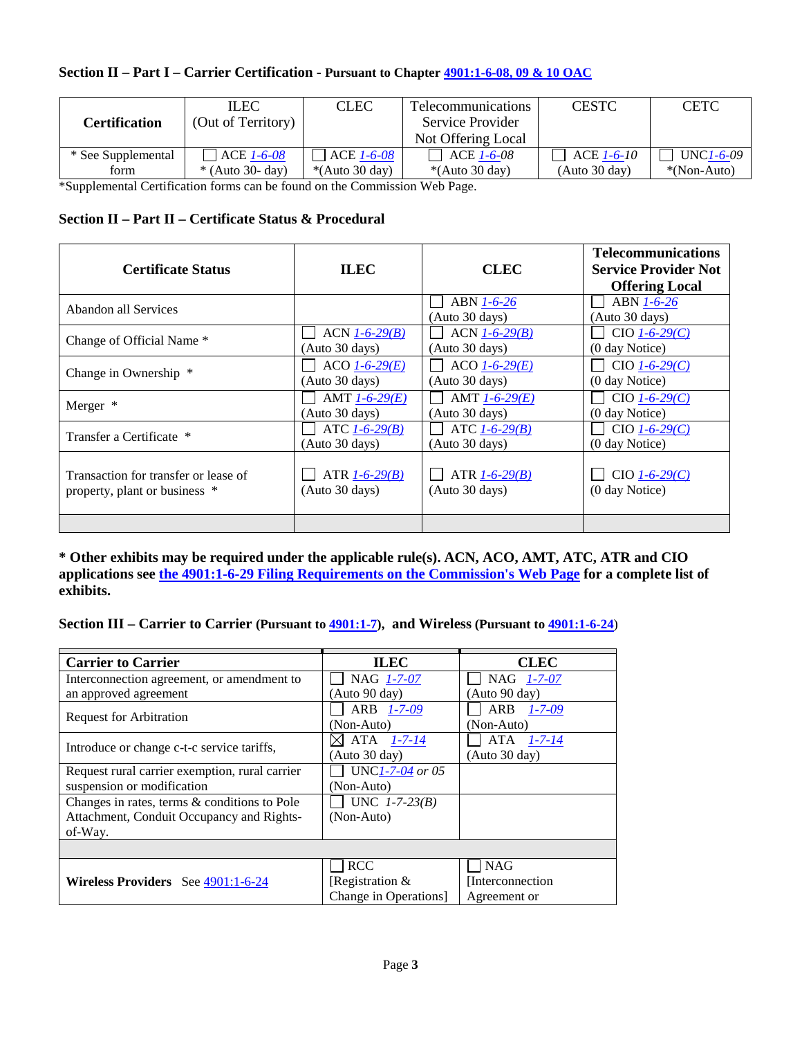## **Section II – Part I – Carrier Certification - Pursuant to Chapter [4901:1-6-08,](http://codes.ohio.gov/oac/4901%3A1-6) 09 & 10 OAC**

|                      | <b>ILEC</b>        | <b>CLEC</b>          | <b>Telecommunications</b> | <b>CESTC</b>  | <b>CETC</b>      |
|----------------------|--------------------|----------------------|---------------------------|---------------|------------------|
| <b>Certification</b> | (Out of Territory) |                      | Service Provider          |               |                  |
|                      |                    |                      | Not Offering Local        |               |                  |
| * See Supplemental   | $\vert$ ACE 1-6-08 | ACE 1-6-08           | ACE 1-6-08                | ACE 1-6-10    | <b>UNC1-6-09</b> |
| form                 | $*($ Auto 30- day) | $*($ Auto 30 day $)$ | $*($ Auto 30 day $)$      | (Auto 30 day) | $*(Non-Auto)$    |

\*Supplemental Certification forms can be found on the Commission Web Page.

### **Section II – Part II – Certificate Status & Procedural**

| <b>Certificate Status</b>            | <b>ILEC</b>           | <b>CLEC</b>                  | <b>Telecommunications</b><br><b>Service Provider Not</b><br><b>Offering Local</b> |
|--------------------------------------|-----------------------|------------------------------|-----------------------------------------------------------------------------------|
| Abandon all Services                 |                       | ABN 1-6-26<br>(Auto 30 days) | ABN 1-6-26<br>(Auto 30 days)                                                      |
| Change of Official Name *            | $ACN$ 1-6-29(B)       | $ACN$ $1-6-29(B)$            | $CIO$ 1-6-29(C)                                                                   |
|                                      | (Auto 30 days)        | (Auto 30 days)               | (0 day Notice)                                                                    |
| Change in Ownership *                | $ACO$ $1 - 6 - 29(E)$ | $ACO$ $1 - 6 - 29(E)$        | $CIO$ $1-6-29(C)$                                                                 |
|                                      | (Auto 30 days)        | (Auto 30 days)               | (0 day Notice)                                                                    |
| Merger *                             | AMT $1 - 6 - 29(E)$   | AMT $1 - 6 - 29(E)$          | $CIO$ $1-6-29(C)$                                                                 |
|                                      | (Auto 30 days)        | (Auto 30 days)               | $(0 \text{ day Notice})$                                                          |
| Transfer a Certificate *             | ATC $1 - 6 - 29(B)$   | ATC $1 - 6 - 29(B)$          | $CIO$ $1-6-29(C)$                                                                 |
|                                      | (Auto 30 days)        | (Auto 30 days)               | (0 day Notice)                                                                    |
| Transaction for transfer or lease of | ATR $1 - 6 - 29$ (B)  | ATR $1-6-29(B)$              | $CIO$ $1-6-29(C)$                                                                 |
| property, plant or business *        | (Auto 30 days)        | (Auto 30 days)               | (0 day Notice)                                                                    |
|                                      |                       |                              |                                                                                   |

**\* Other exhibits may be required under the applicable rule(s). ACN, ACO, AMT, ATC, ATR and CIO applications see [the 4901:1-6-29 Filing Requirements on the Commission's Web Page](http://www.puco.ohio.gov/emplibrary/files/util/TelecomFiles/4901x1-6-14_Filing_Requirements.htm) for a complete list of exhibits.**

**Section III – Carrier to Carrier (Pursuant to [4901:1-7\)](http://codes.ohio.gov/oac/4901%3A1-7), and Wireless (Pursuant to [4901:1-6-24](http://codes.ohio.gov/oac/4901%3A1-6-15)**)

| <b>Carrier to Carrier</b>                       | <b>ILEC</b>          | <b>CLEC</b>                |
|-------------------------------------------------|----------------------|----------------------------|
| Interconnection agreement, or amendment to      | NAG 1-7-07           | NAG 1-7-07                 |
| an approved agreement                           | (Auto 90 day)        | (Auto 90 day)              |
| <b>Request for Arbitration</b>                  | ARB 1-7-09           | $1 - 7 - 09$<br><b>ARB</b> |
|                                                 | (Non-Auto)           | (Non-Auto)                 |
| Introduce or change c-t-c service tariffs,      | ATA 1-7-14<br>ЖL     | ATA 1-7-14                 |
|                                                 | (Auto 30 day)        | (Auto 30 day)              |
| Request rural carrier exemption, rural carrier  | UNC1-7-04 or 05      |                            |
| suspension or modification                      | (Non-Auto)           |                            |
| Changes in rates, terms $\&$ conditions to Pole | UNC $1 - 7 - 23(B)$  |                            |
| Attachment, Conduit Occupancy and Rights-       | (Non-Auto)           |                            |
| of-Way.                                         |                      |                            |
|                                                 |                      |                            |
|                                                 | <b>RCC</b>           | <b>NAG</b>                 |
| Wireless Providers See 4901:1-6-24              | Registration &       | [Interconnection]          |
|                                                 | Change in Operations | Agreement or               |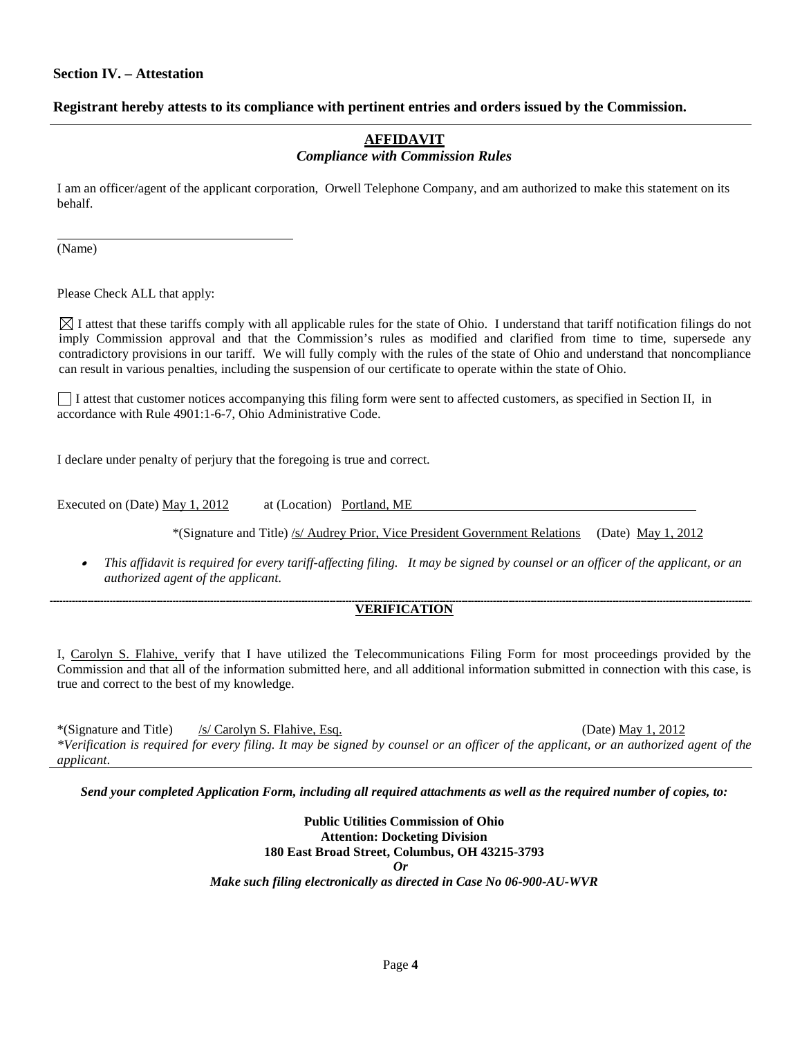#### **Section IV. – Attestation**

#### **Registrant hereby attests to its compliance with pertinent entries and orders issued by the Commission.**

#### **AFFIDAVIT** *Compliance with Commission Rules*

I am an officer/agent of the applicant corporation, Orwell Telephone Company, and am authorized to make this statement on its behalf.

(Name)

Please Check ALL that apply:

 $\boxtimes$  I attest that these tariffs comply with all applicable rules for the state of Ohio. I understand that tariff notification filings do not imply Commission approval and that the Commission's rules as modified and clarified from time to time, supersede any contradictory provisions in our tariff. We will fully comply with the rules of the state of Ohio and understand that noncompliance can result in various penalties, including the suspension of our certificate to operate within the state of Ohio.

I attest that customer notices accompanying this filing form were sent to affected customers, as specified in Section II, in accordance with Rule 4901:1-6-7, Ohio Administrative Code.

I declare under penalty of perjury that the foregoing is true and correct.

Executed on (Date) May 1, 2012 at (Location) Portland, ME

\*(Signature and Title) /s/ Audrey Prior, Vice President Government Relations (Date) May 1, 2012

• *This affidavit is required for every tariff-affecting filing. It may be signed by counsel or an officer of the applicant, or an authorized agent of the applicant*.

#### **VERIFICATION**

I, Carolyn S. Flahive, verify that I have utilized the Telecommunications Filing Form for most proceedings provided by the Commission and that all of the information submitted here, and all additional information submitted in connection with this case, is true and correct to the best of my knowledge.

\*(Signature and Title) /s/ Carolyn S. Flahive, Esq. (Date) May 1, 2012 *\*Verification is required for every filing. It may be signed by counsel or an officer of the applicant, or an authorized agent of the applicant*.

*Send your completed Application Form, including all required attachments as well as the required number of copies, to:*

**Public Utilities Commission of Ohio Attention: Docketing Division 180 East Broad Street, Columbus, OH 43215-3793** *Or Make such filing electronically as directed in Case No 06-900-AU-WVR*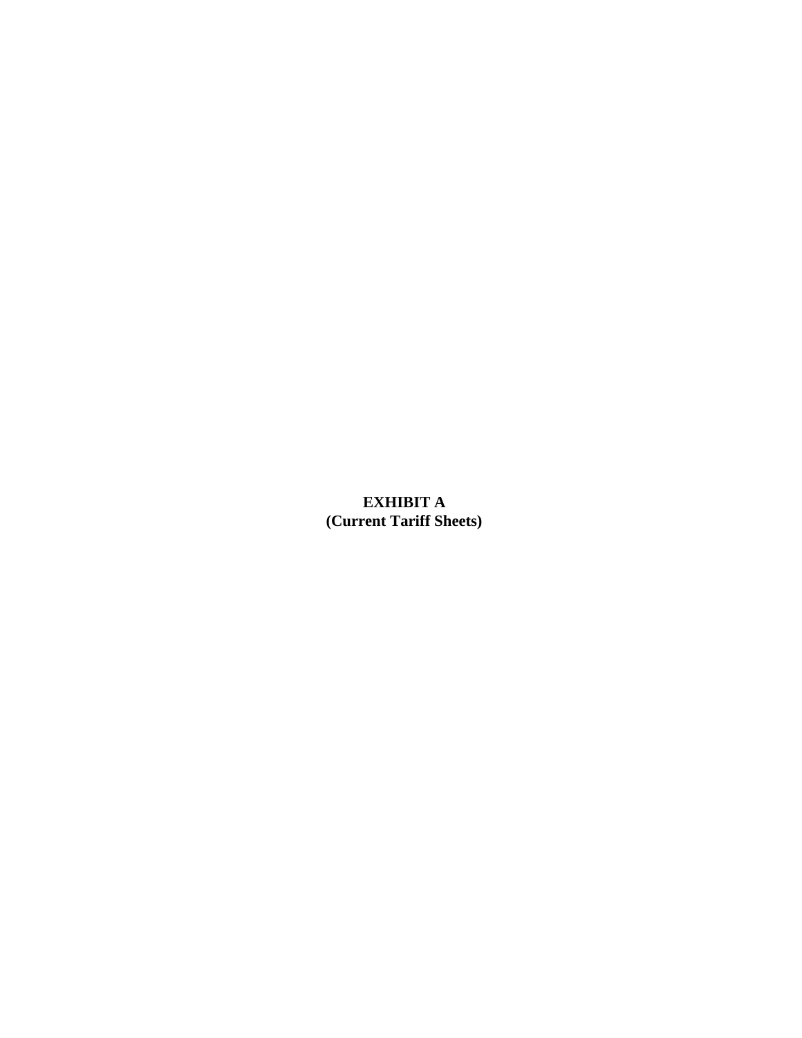# **EXHIBIT A (Current Tariff Sheets)**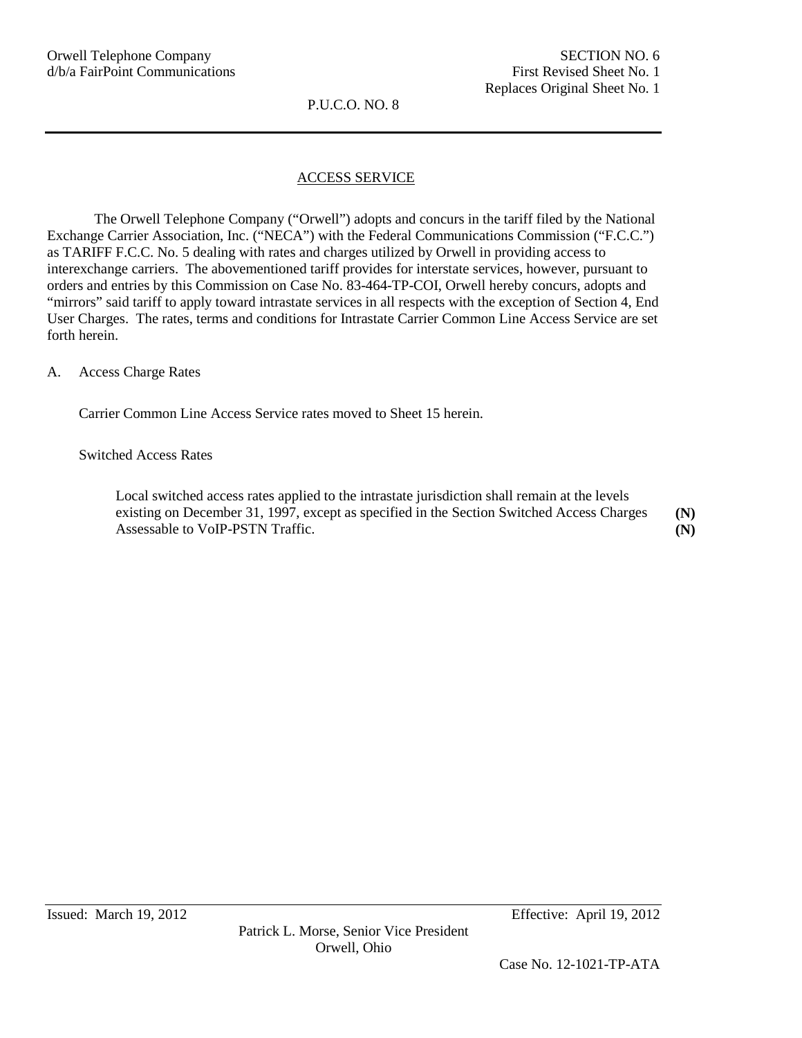## ACCESS SERVICE

The Orwell Telephone Company ("Orwell") adopts and concurs in the tariff filed by the National Exchange Carrier Association, Inc. ("NECA") with the Federal Communications Commission ("F.C.C.") as TARIFF F.C.C. No. 5 dealing with rates and charges utilized by Orwell in providing access to interexchange carriers. The abovementioned tariff provides for interstate services, however, pursuant to orders and entries by this Commission on Case No. 83-464-TP-COI, Orwell hereby concurs, adopts and "mirrors" said tariff to apply toward intrastate services in all respects with the exception of Section 4, End User Charges. The rates, terms and conditions for Intrastate Carrier Common Line Access Service are set forth herein.

A. Access Charge Rates

Carrier Common Line Access Service rates moved to Sheet 15 herein.

#### Switched Access Rates

Local switched access rates applied to the intrastate jurisdiction shall remain at the levels existing on December 31, 1997, except as specified in the Section Switched Access Charges Assessable to VoIP-PSTN Traffic. **(N) (N)**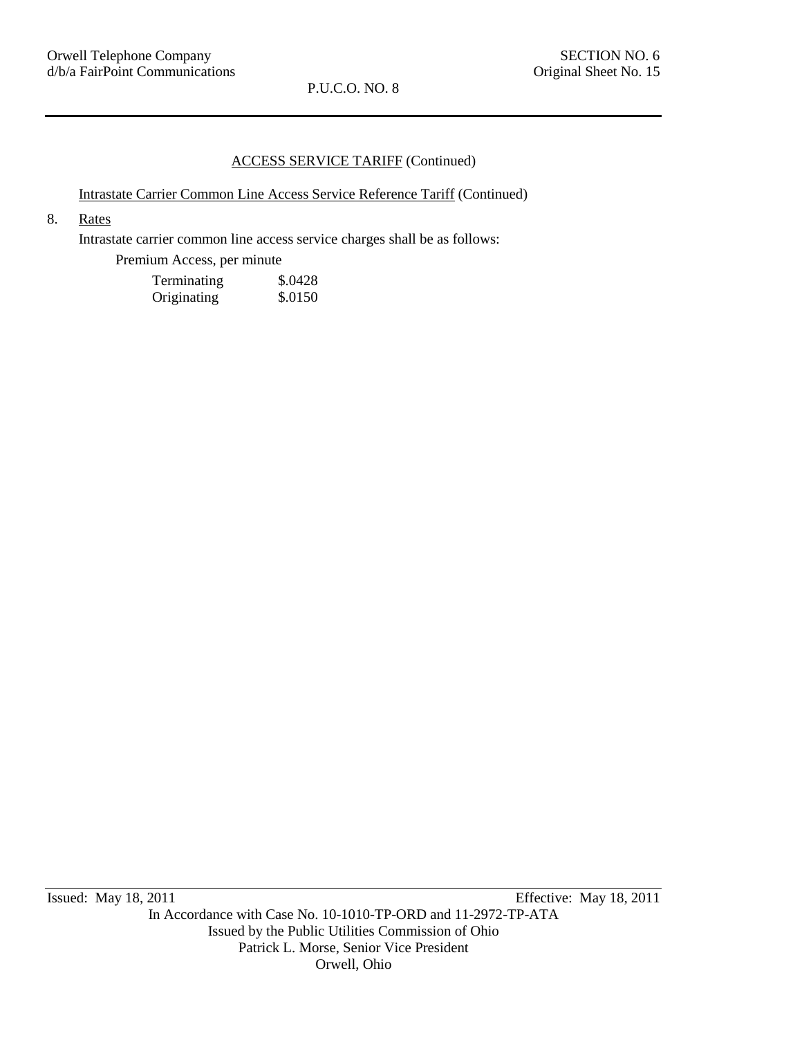### ACCESS SERVICE TARIFF (Continued)

### Intrastate Carrier Common Line Access Service Reference Tariff (Continued)

## 8. Rates

Intrastate carrier common line access service charges shall be as follows:

Premium Access, per minute

| Terminating | \$.0428 |
|-------------|---------|
| Originating | \$.0150 |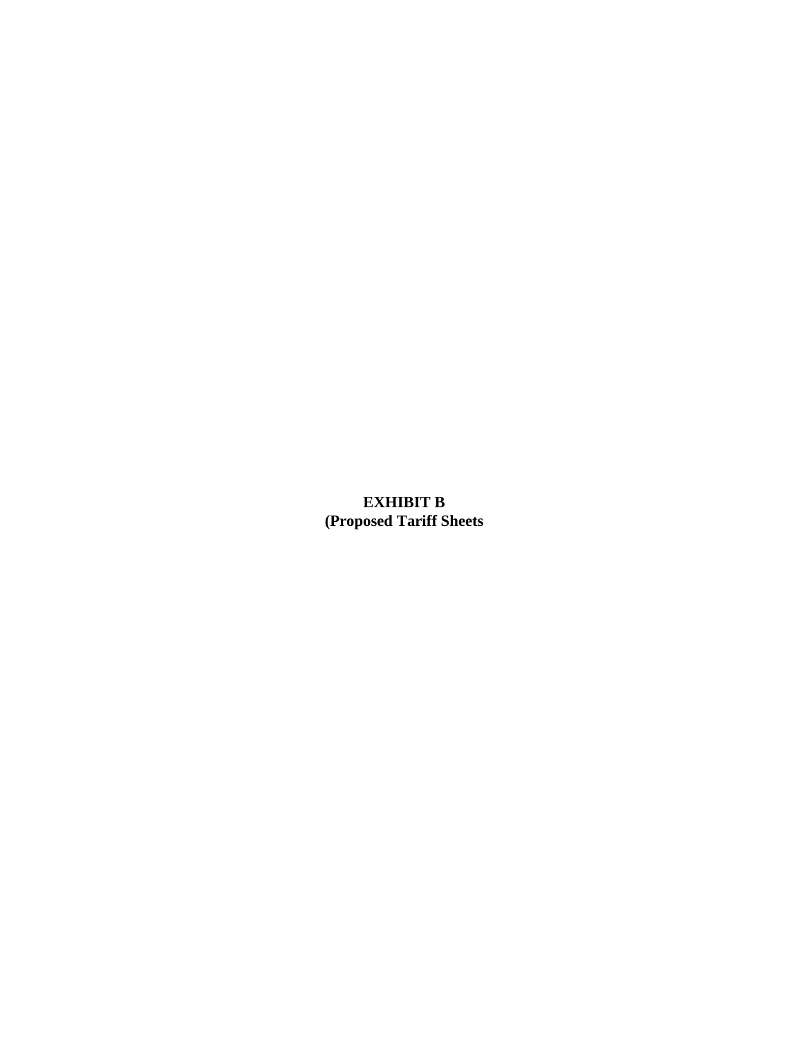# **EXHIBIT B (Proposed Tariff Sheets**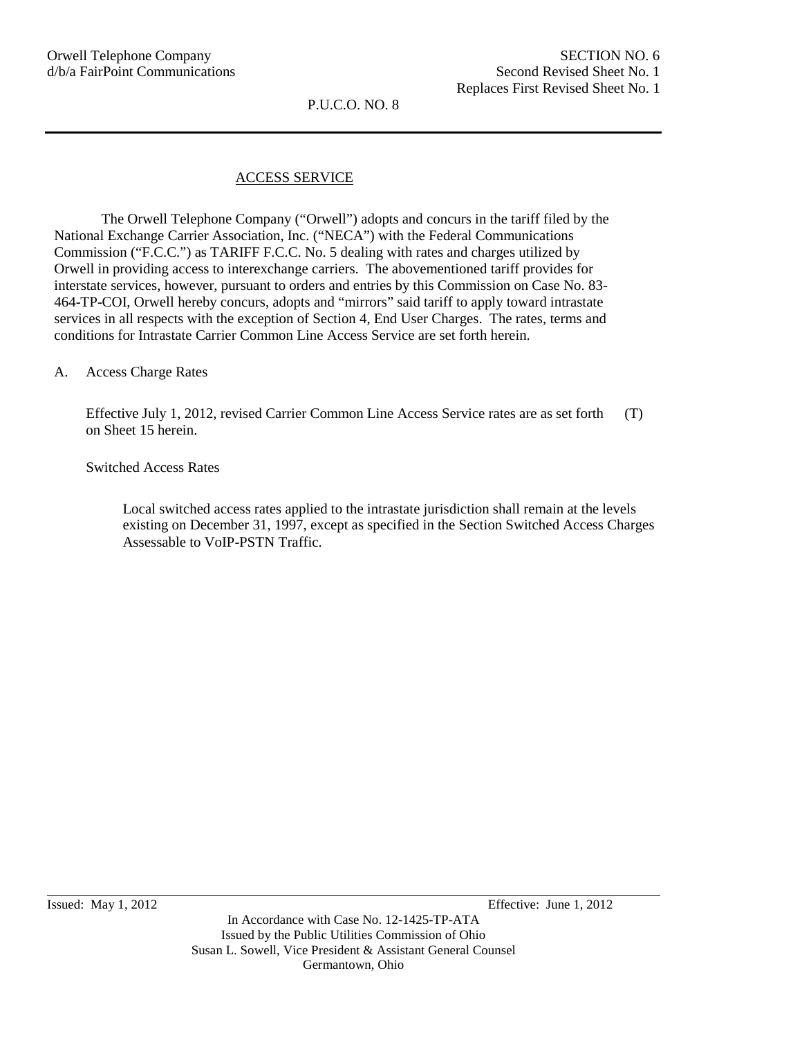## ACCESS SERVICE

The Orwell Telephone Company ("Orwell") adopts and concurs in the tariff filed by the National Exchange Carrier Association, Inc. ("NECA") with the Federal Communications Commission ("F.C.C.") as TARIFF F.C.C. No. 5 dealing with rates and charges utilized by Orwell in providing access to interexchange carriers. The abovementioned tariff provides for interstate services, however, pursuant to orders and entries by this Commission on Case No. 83- 464-TP-COI, Orwell hereby concurs, adopts and "mirrors" said tariff to apply toward intrastate services in all respects with the exception of Section 4, End User Charges. The rates, terms and conditions for Intrastate Carrier Common Line Access Service are set forth herein.

#### A. Access Charge Rates

Effective July 1, 2012, revised Carrier Common Line Access Service rates are as set forth on Sheet 15 herein. (T)

Switched Access Rates

Local switched access rates applied to the intrastate jurisdiction shall remain at the levels existing on December 31, 1997, except as specified in the Section Switched Access Charges Assessable to VoIP-PSTN Traffic.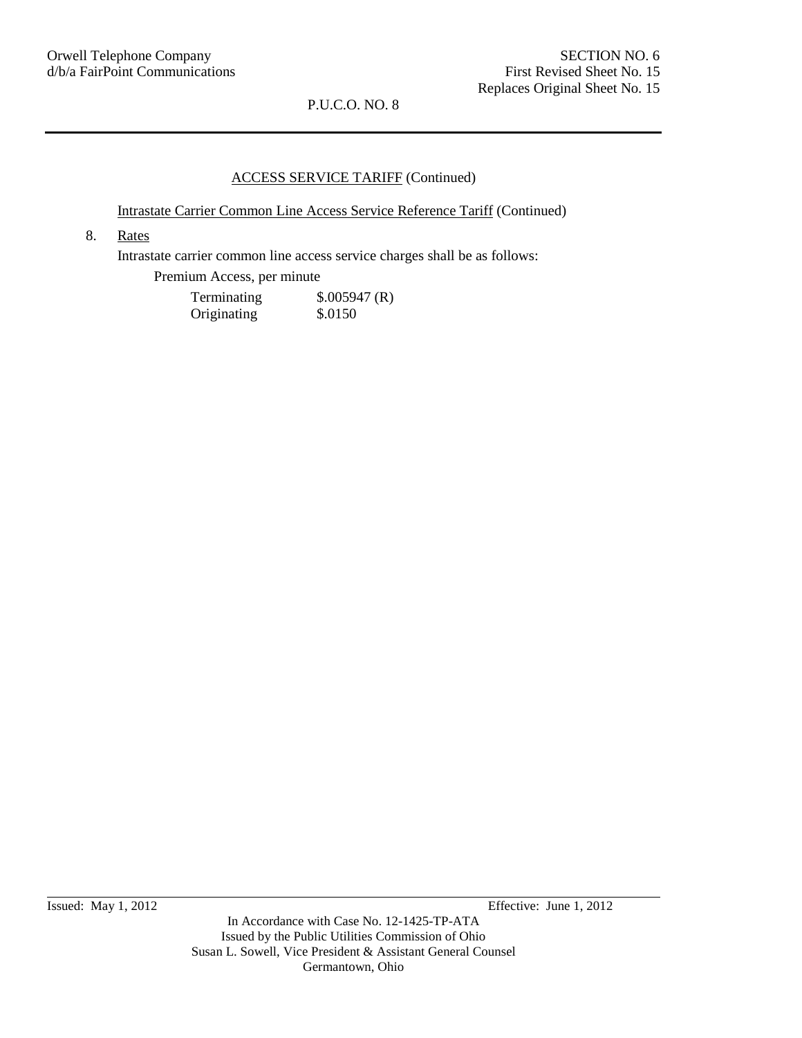#### ACCESS SERVICE TARIFF (Continued)

Intrastate Carrier Common Line Access Service Reference Tariff (Continued)

8. Rates

Intrastate carrier common line access service charges shall be as follows:

Premium Access, per minute

| Terminating | \$.005947(R) |
|-------------|--------------|
| Originating | \$.0150      |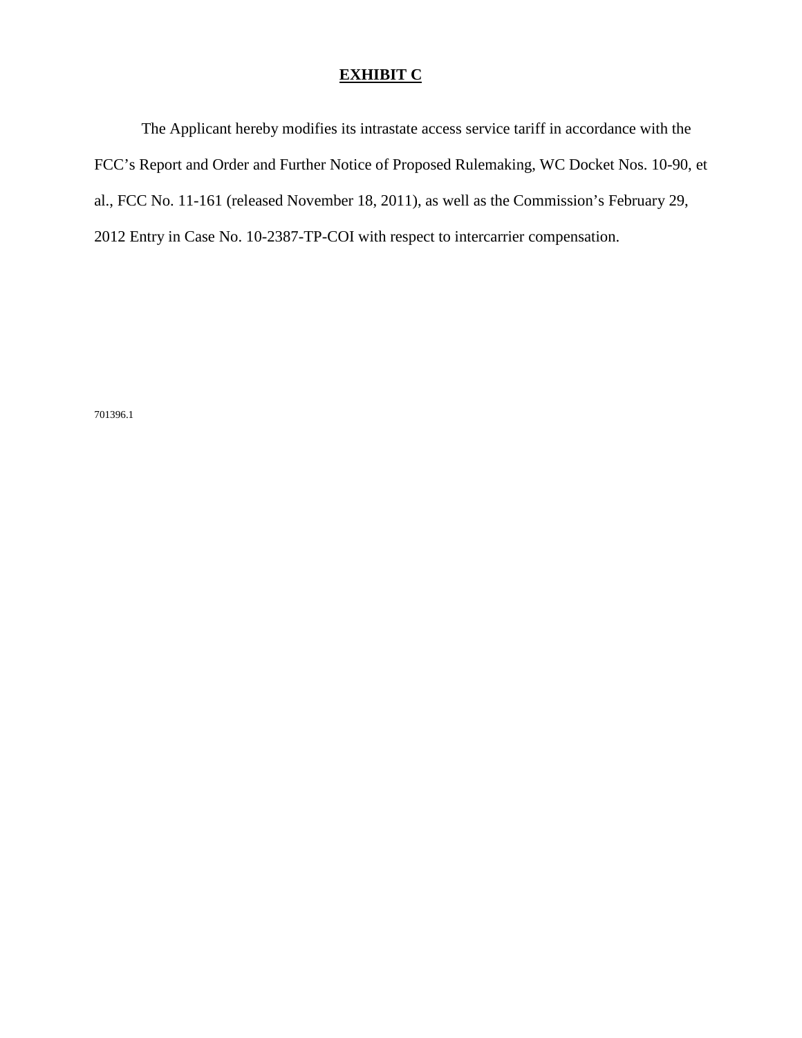## **EXHIBIT C**

The Applicant hereby modifies its intrastate access service tariff in accordance with the FCC's Report and Order and Further Notice of Proposed Rulemaking, WC Docket Nos. 10-90, et al., FCC No. 11-161 (released November 18, 2011), as well as the Commission's February 29, 2012 Entry in Case No. 10-2387-TP-COI with respect to intercarrier compensation.

701396.1